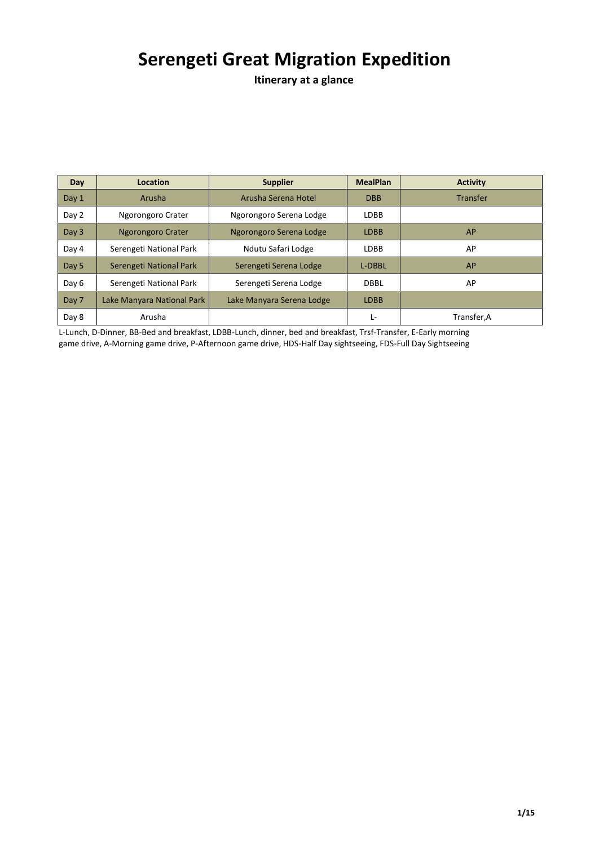# **Serengeti Great Migration Expedition**

**Itinerary at a glance**

| Day   | Location                   | <b>Supplier</b>           | <b>MealPlan</b> | <b>Activity</b> |
|-------|----------------------------|---------------------------|-----------------|-----------------|
| Day 1 | Arusha                     | Arusha Serena Hotel       | <b>DBB</b>      | Transfer        |
| Day 2 | Ngorongoro Crater          | Ngorongoro Serena Lodge   | <b>LDBB</b>     |                 |
| Day 3 | <b>Ngorongoro Crater</b>   | Ngorongoro Serena Lodge   | <b>LDBB</b>     | AP              |
| Day 4 | Serengeti National Park    | Ndutu Safari Lodge        | <b>LDBB</b>     | AP              |
| Day 5 | Serengeti National Park    | Serengeti Serena Lodge    | <b>L-DBBL</b>   | AP              |
| Day 6 | Serengeti National Park    | Serengeti Serena Lodge    | <b>DBBL</b>     | AP              |
| Day 7 | Lake Manyara National Park | Lake Manyara Serena Lodge | <b>LDBB</b>     |                 |
| Day 8 | Arusha                     |                           | Ŀ               | Transfer, A     |

L-Lunch, D-Dinner, BB-Bed and breakfast, LDBB-Lunch, dinner, bed and breakfast, Trsf-Transfer, E-Early morning game drive, A-Morning game drive, P-Afternoon game drive, HDS-Half Day sightseeing, FDS-Full Day Sightseeing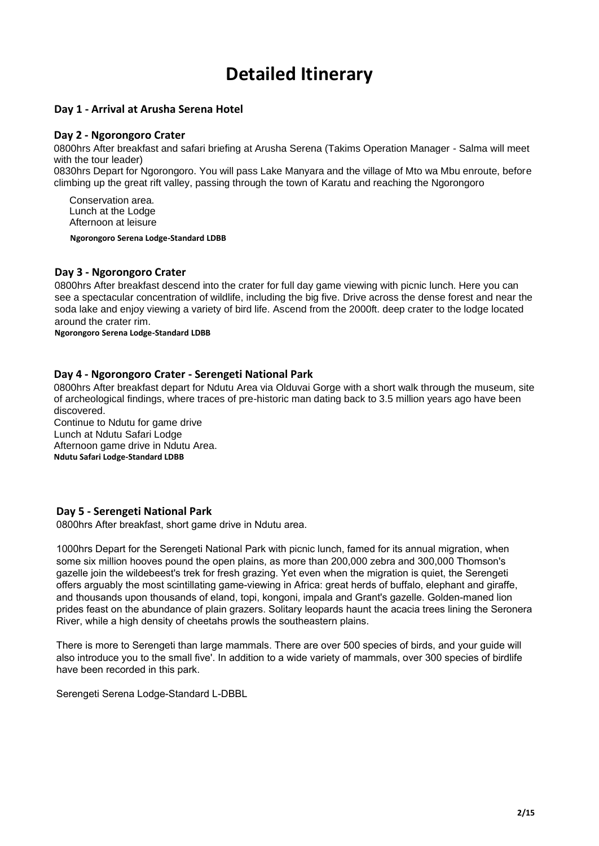# **Detailed Itinerary**

## **Day 1 - Arrival at Arusha Serena Hotel**

## **Day 2 - Ngorongoro Crater**

0800hrs After breakfast and safari briefing at Arusha Serena (Takims Operation Manager - Salma will meet with the tour leader)

0830hrs Depart for Ngorongoro. You will pass Lake Manyara and the village of Mto wa Mbu enroute, before climbing up the great rift valley, passing through the town of Karatu and reaching the Ngorongoro

Conservation area. Lunch at the Lodge Afternoon at leisure

**Ngorongoro Serena Lodge-Standard LDBB** 

## **Day 3 - Ngorongoro Crater**

0800hrs After breakfast descend into the crater for full day game viewing with picnic lunch. Here you can see a spectacular concentration of wildlife, including the big five. Drive across the dense forest and near the soda lake and enjoy viewing a variety of bird life. Ascend from the 2000ft. deep crater to the lodge located around the crater rim.

**Ngorongoro Serena Lodge-Standard LDBB** 

## **Day 4 - Ngorongoro Crater - Serengeti National Park**

0800hrs After breakfast depart for Ndutu Area via Olduvai Gorge with a short walk through the museum, site of archeological findings, where traces of pre-historic man dating back to 3.5 million years ago have been discovered.

Continue to Ndutu for game drive Lunch at Ndutu Safari Lodge Afternoon game drive in Ndutu Area. **Ndutu Safari Lodge-Standard LDBB** 

## **Day 5 - Serengeti National Park**

0800hrs After breakfast, short game drive in Ndutu area.

1000hrs Depart for the Serengeti National Park with picnic lunch, famed for its annual migration, when some six million hooves pound the open plains, as more than 200,000 zebra and 300,000 Thomson's gazelle join the wildebeest's trek for fresh grazing. Yet even when the migration is quiet, the Serengeti offers arguably the most scintillating game-viewing in Africa: great herds of buffalo, elephant and giraffe, and thousands upon thousands of eland, topi, kongoni, impala and Grant's gazelle. Golden-maned lion prides feast on the abundance of plain grazers. Solitary leopards haunt the acacia trees lining the Seronera River, while a high density of cheetahs prowls the southeastern plains.

There is more to Serengeti than large mammals. There are over 500 species of birds, and your guide will also introduce you to the small five'. In addition to a wide variety of mammals, over 300 species of birdlife have been recorded in this park.

Serengeti Serena Lodge-Standard L-DBBL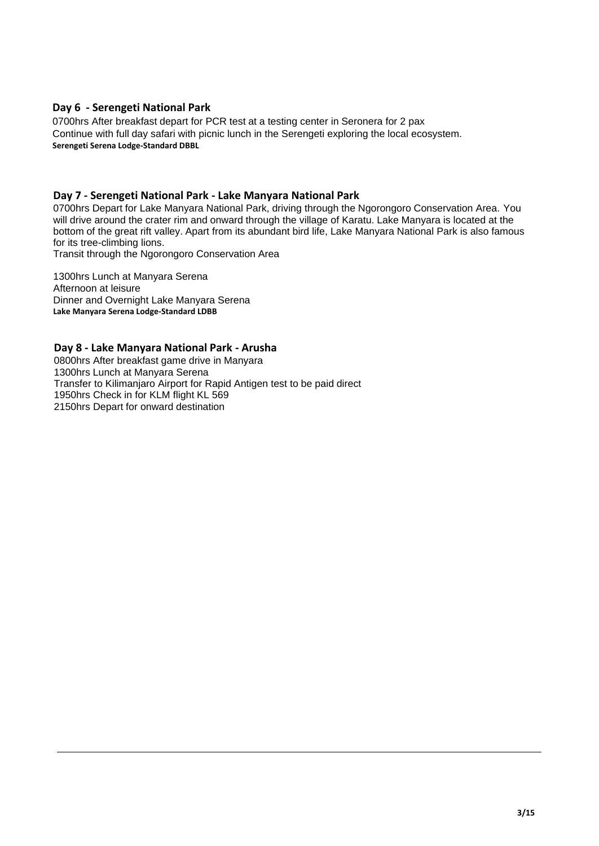## **Day 6 - Serengeti National Park**

0700hrs After breakfast depart for PCR test at a testing center in Seronera for 2 pax Continue with full day safari with picnic lunch in the Serengeti exploring the local ecosystem. **Serengeti Serena Lodge-Standard DBBL** 

## **Day 7 - Serengeti National Park - Lake Manyara National Park**

0700hrs Depart for Lake Manyara National Park, driving through the Ngorongoro Conservation Area. You will drive around the crater rim and onward through the village of Karatu. Lake Manyara is located at the bottom of the great rift valley. Apart from its abundant bird life, Lake Manyara National Park is also famous for its tree-climbing lions.

Transit through the Ngorongoro Conservation Area

1300hrs Lunch at Manyara Serena Afternoon at leisure Dinner and Overnight Lake Manyara Serena **Lake Manyara Serena Lodge-Standard LDBB** 

## **Day 8 - Lake Manyara National Park - Arusha**

0800hrs After breakfast game drive in Manyara 1300hrs Lunch at Manyara Serena Transfer to Kilimanjaro Airport for Rapid Antigen test to be paid direct 1950hrs Check in for KLM flight KL 569 2150hrs Depart for onward destination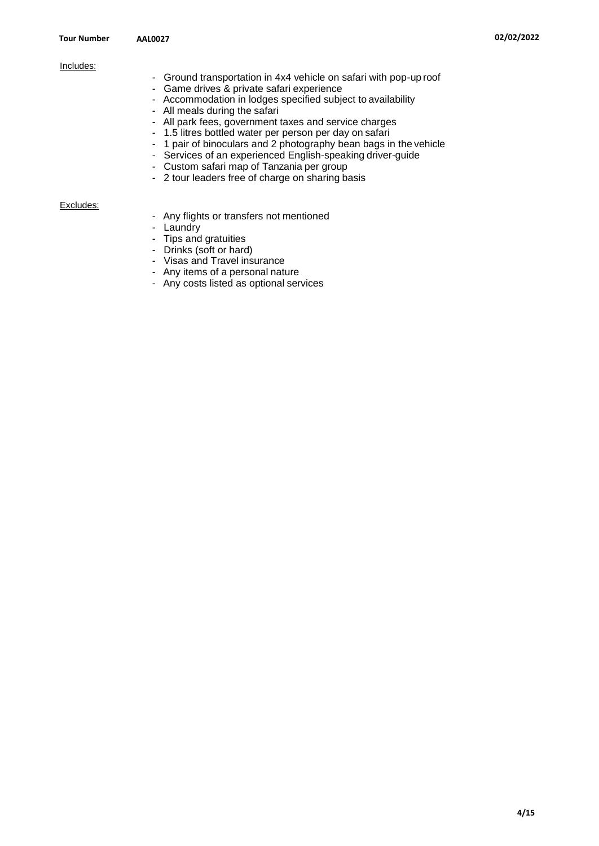### Includes:

- Ground transportation in 4x4 vehicle on safari with pop-uproof
- Game drives & private safari experience
- Accommodation in lodges specified subject to availability
- All meals during the safari
- All park fees, government taxes and service charges
- 1.5 litres bottled water per person per day onsafari
- 1 pair of binoculars and 2 photography bean bags in the vehicle
- Services of an experienced English-speaking driver-guide
- Custom safari map of Tanzania per group
- 2 tour leaders free of charge on sharing basis

## Excludes:

- Any flights or transfers not mentioned
- Laundry
- Tips and gratuities
- Drinks (soft or hard)
- Visas and Travel insurance
- Any items of a personal nature
- Any costs listed as optional services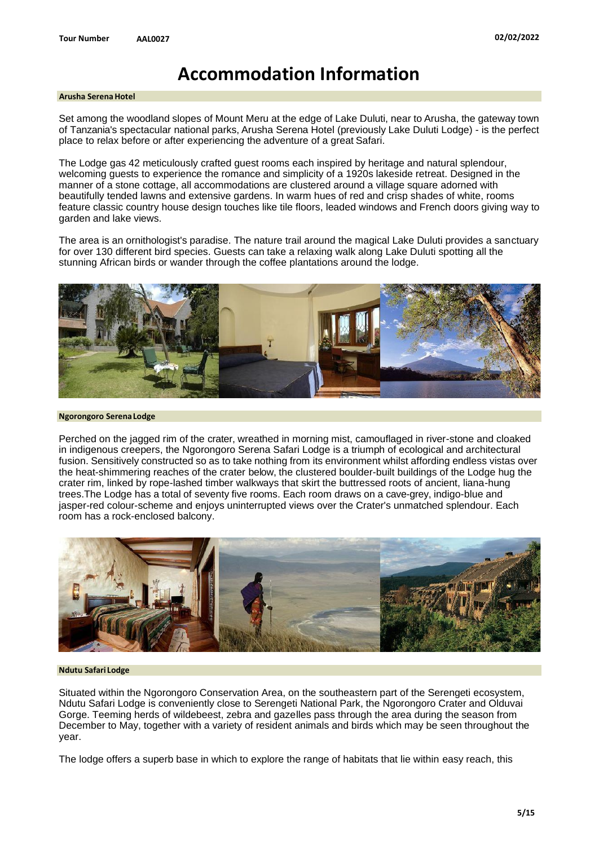# **Accommodation Information**

### **Arusha SerenaHotel**

Set among the woodland slopes of Mount Meru at the edge of Lake Duluti, near to Arusha, the gateway town of Tanzania's spectacular national parks, Arusha Serena Hotel (previously Lake Duluti Lodge) - is the perfect place to relax before or after experiencing the adventure of a great Safari.

The Lodge gas 42 meticulously crafted guest rooms each inspired by heritage and natural splendour, welcoming guests to experience the romance and simplicity of a 1920s lakeside retreat. Designed in the manner of a stone cottage, all accommodations are clustered around a village square adorned with beautifully tended lawns and extensive gardens. In warm hues of red and crisp shades of white, rooms feature classic country house design touches like tile floors, leaded windows and French doors giving way to garden and lake views.

The area is an ornithologist's paradise. The nature trail around the magical Lake Duluti provides a sanctuary for over 130 different bird species. Guests can take a relaxing walk along Lake Duluti spotting all the stunning African birds or wander through the coffee plantations around the lodge.



**Ngorongoro SerenaLodge**

Perched on the jagged rim of the crater, wreathed in morning mist, camouflaged in river-stone and cloaked in indigenous creepers, the Ngorongoro Serena Safari Lodge is a triumph of ecological and architectural fusion. Sensitively constructed so as to take nothing from its environment whilst affording endless vistas over the heat-shimmering reaches of the crater below, the clustered boulder-built buildings of the Lodge hug the crater rim, linked by rope-lashed timber walkways that skirt the buttressed roots of ancient, liana-hung trees.The Lodge has a total of seventy five rooms. Each room draws on a cave-grey, indigo-blue and jasper-red colour-scheme and enjoys uninterrupted views over the Crater's unmatched splendour. Each room has a rock-enclosed balcony.



#### **Ndutu Safari Lodge**

Situated within the Ngorongoro Conservation Area, on the southeastern part of the Serengeti ecosystem, Ndutu Safari Lodge is conveniently close to Serengeti National Park, the Ngorongoro Crater and Olduvai Gorge. Teeming herds of wildebeest, zebra and gazelles pass through the area during the season from December to May, together with a variety of resident animals and birds which may be seen throughout the year.

The lodge offers a superb base in which to explore the range of habitats that lie within easy reach, this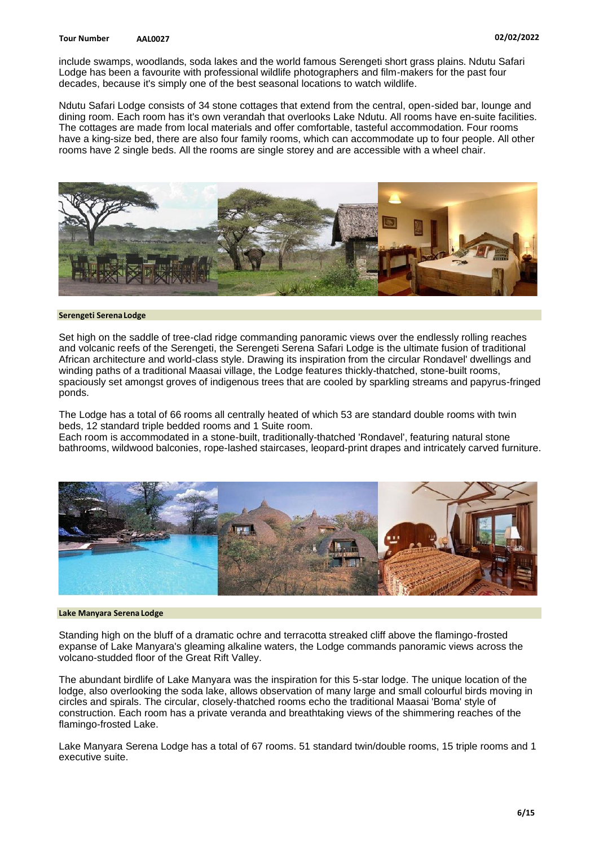#### **Tour Number AAL0027 02/02/2022**

include swamps, woodlands, soda lakes and the world famous Serengeti short grass plains. Ndutu Safari Lodge has been a favourite with professional wildlife photographers and film-makers for the past four decades, because it's simply one of the best seasonal locations to watch wildlife.

Ndutu Safari Lodge consists of 34 stone cottages that extend from the central, open-sided bar, lounge and dining room. Each room has it's own verandah that overlooks Lake Ndutu. All rooms have en-suite facilities. The cottages are made from local materials and offer comfortable, tasteful accommodation. Four rooms have a king-size bed, there are also four family rooms, which can accommodate up to four people. All other rooms have 2 single beds. All the rooms are single storey and are accessible with a wheel chair.



#### **Serengeti SerenaLodge**

Set high on the saddle of tree-clad ridge commanding panoramic views over the endlessly rolling reaches and volcanic reefs of the Serengeti, the Serengeti Serena Safari Lodge is the ultimate fusion of traditional African architecture and world-class style. Drawing its inspiration from the circular Rondavel' dwellings and winding paths of a traditional Maasai village, the Lodge features thickly-thatched, stone-built rooms, spaciously set amongst groves of indigenous trees that are cooled by sparkling streams and papyrus-fringed ponds.

The Lodge has a total of 66 rooms all centrally heated of which 53 are standard double rooms with twin beds, 12 standard triple bedded rooms and 1 Suite room.

Each room is accommodated in a stone-built, traditionally-thatched 'Rondavel', featuring natural stone bathrooms, wildwood balconies, rope-lashed staircases, leopard-print drapes and intricately carved furniture.



### **Lake Manyara Serena Lodge**

Standing high on the bluff of a dramatic ochre and terracotta streaked cliff above the flamingo-frosted expanse of Lake Manyara's gleaming alkaline waters, the Lodge commands panoramic views across the volcano-studded floor of the Great Rift Valley.

The abundant birdlife of Lake Manyara was the inspiration for this 5-star lodge. The unique location of the lodge, also overlooking the soda lake, allows observation of many large and small colourful birds moving in circles and spirals. The circular, closely-thatched rooms echo the traditional Maasai 'Boma' style of construction. Each room has a private veranda and breathtaking views of the shimmering reaches of the flamingo-frosted Lake.

Lake Manyara Serena Lodge has a total of 67 rooms. 51 standard twin/double rooms, 15 triple rooms and 1 executive suite.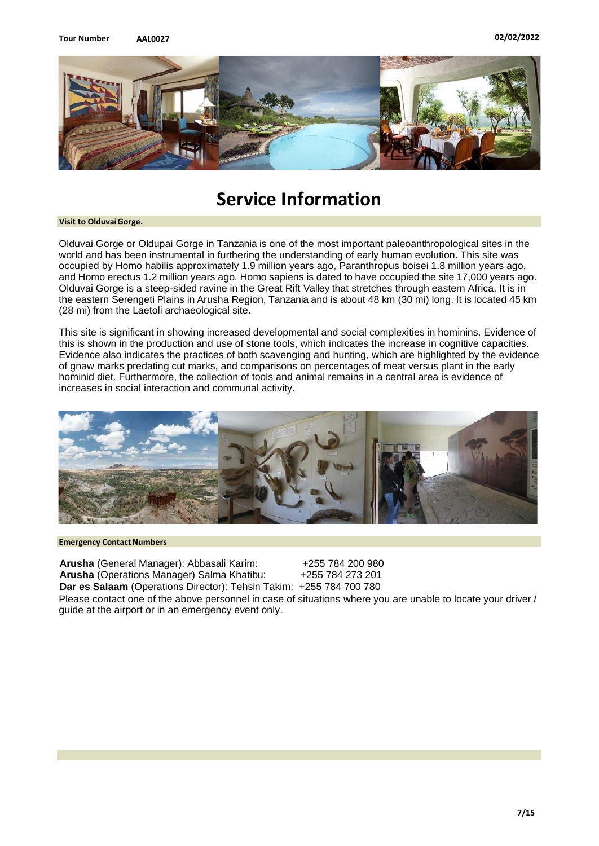

# **Service Information**

#### **Visit to OlduvaiGorge.**

Olduvai Gorge or Oldupai Gorge in Tanzania is one of the most important paleoanthropological sites in the world and has been instrumental in furthering the understanding of early human evolution. This site was occupied by Homo habilis approximately 1.9 million years ago, Paranthropus boisei 1.8 million years ago, and Homo erectus 1.2 million years ago. Homo sapiens is dated to have occupied the site 17,000 years ago. Olduvai Gorge is a steep-sided ravine in the Great Rift Valley that stretches through eastern Africa. It is in the eastern Serengeti Plains in Arusha Region, Tanzania and is about 48 km (30 mi) long. It is located 45 km (28 mi) from the Laetoli archaeological site.

This site is significant in showing increased developmental and social complexities in hominins. Evidence of this is shown in the production and use of stone tools, which indicates the increase in cognitive capacities. Evidence also indicates the practices of both scavenging and hunting, which are highlighted by the evidence of gnaw marks predating cut marks, and comparisons on percentages of meat versus plant in the early hominid diet. Furthermore, the collection of tools and animal remains in a central area is evidence of increases in social interaction and communal activity.



#### **Emergency Contact Numbers**

**Arusha** (General Manager): Abbasali Karim: +255 784 200 980 **Arusha** (Operations Manager) Salma Khatibu: +255 784 273 201 **Dar es Salaam** (Operations Director): Tehsin Takim: +255 784 700 780 Please contact one of the above personnel in case of situations where you are unable to locate your driver / guide at the airport or in an emergency event only.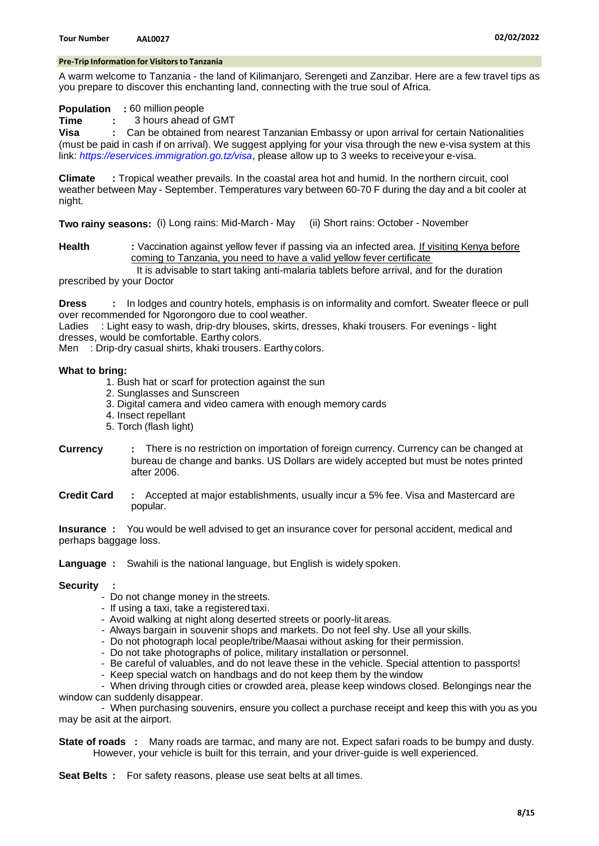### **Pre-Trip Information for Visitorsto Tanzania**

A warm welcome to Tanzania - the land of Kilimanjaro, Serengeti and Zanzibar. Here are a few travel tips as you prepare to discover this enchanting land, connecting with the true soul of Africa.

## **Population** : 60 million people

**Time :** 3 hours ahead of GMT

**Visa :** Can be obtained from nearest Tanzanian Embassy or upon arrival for certain Nationalities (must be paid in cash if on arrival). We suggest applying for your visa through the new e-visa system at this link: https://eservices.immigration.go.tz/visa, please allow up to 3 weeks to receiveyour e-visa.

**Climate :** Tropical weather prevails. In the coastal area hot and humid. In the northern circuit, cool weather between May - September. Temperatures vary between 60-70 F during the day and a bit cooler at night.

**Two rainy seasons:** (i) Long rains: Mid-March- May (ii) Short rains: October - November

**Health** : Vaccination against yellow fever if passing via an infected area. If visiting Kenya before coming to Tanzania, you need to have a valid yellow fever certificate It is advisable to start taking anti-malaria tablets before arrival, and for the duration

prescribed by your Doctor

**Dress** : In lodges and country hotels, emphasis is on informality and comfort. Sweater fleece or pull over recommended for Ngorongoro due to cool weather.

Ladies : Light easy to wash, drip-dry blouses, skirts, dresses, khaki trousers. For evenings - light dresses, would be comfortable. Earthy colors.

Men : Drip-dry casual shirts, khaki trousers. Earthy colors.

## **What to bring:**

- 1. Bush hat or scarf for protection against the sun
- 2. Sunglasses and Sunscreen
- 3. Digital camera and video camera with enough memory cards
- 4. Insect repellant
- 5. Torch (flash light)
- **Currency :** There is no restriction on importation of foreign currency. Currency can be changed at bureau de change and banks. US Dollars are widely accepted but must be notes printed after 2006.
- **Credit Card :** Accepted at major establishments, usually incur a 5% fee. Visa and Mastercard are popular.

**Insurance :** You would be well advised to get an insurance cover for personal accident, medical and perhaps baggage loss.

**Language :** Swahili is the national language, but English is widely spoken.

## **Security :**

- Do not change money in thestreets.
- If using a taxi, take a registered taxi.
- Avoid walking at night along deserted streets or poorly-litareas.
- Always bargain in souvenir shops and markets. Do not feel shy. Use all your skills.
- Do not photograph local people/tribe/Maasai without asking for their permission.
- Do not take photographs of police, military installation or personnel.
- Be careful of valuables, and do not leave these in the vehicle. Special attention to passports!
- Keep special watch on handbags and do not keep them by the window

- When driving through cities or crowded area, please keep windows closed. Belongings near the window can suddenly disappear.

- When purchasing souvenirs, ensure you collect a purchase receipt and keep this with you as you may be asit at the airport.

**State of roads :** Many roads are tarmac, and many are not. Expect safari roads to be bumpy and dusty. However, your vehicle is built for this terrain, and your driver-guide is well experienced.

**Seat Belts** : For safety reasons, please use seat belts at all times.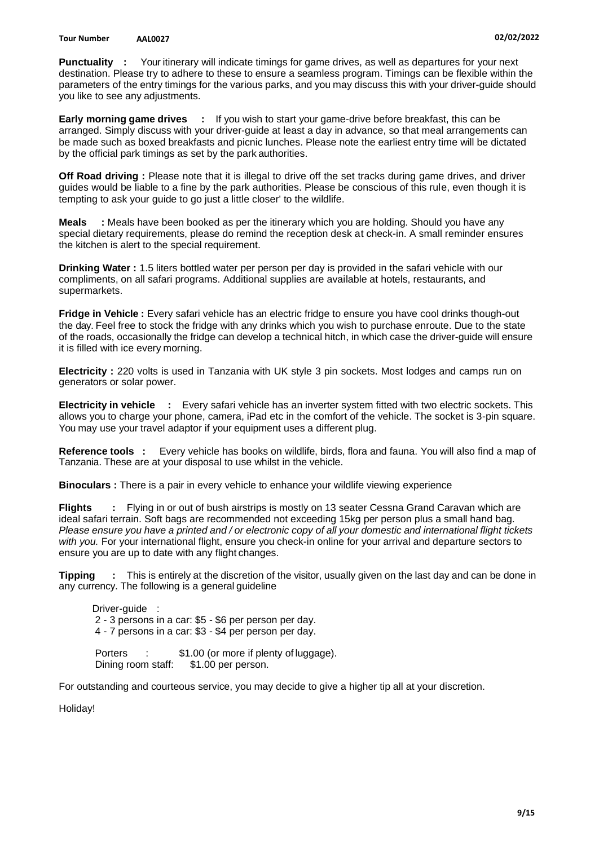**Punctuality :** Your itinerary will indicate timings for game drives, as well as departures for your next destination. Please try to adhere to these to ensure a seamless program. Timings can be flexible within the parameters of the entry timings for the various parks, and you may discuss this with your driver-guide should you like to see any adjustments.

**Early morning game drives :** If you wish to start your game-drive before breakfast, this can be arranged. Simply discuss with your driver-guide at least a day in advance, so that meal arrangements can be made such as boxed breakfasts and picnic lunches. Please note the earliest entry time will be dictated by the official park timings as set by the parkauthorities.

**Off Road driving :** Please note that it is illegal to drive off the set tracks during game drives, and driver guides would be liable to a fine by the park authorities. Please be conscious of this rule, even though it is tempting to ask your guide to go just a little closer' to the wildlife.

**Meals :** Meals have been booked as per the itinerary which you are holding. Should you have any special dietary requirements, please do remind the reception desk at check-in. A small reminder ensures the kitchen is alert to the special requirement.

**Drinking Water :** 1.5 liters bottled water per person per day is provided in the safari vehicle with our compliments, on all safari programs. Additional supplies are available at hotels, restaurants, and supermarkets.

**Fridge in Vehicle :** Every safari vehicle has an electric fridge to ensure you have cool drinks though-out the day. Feel free to stock the fridge with any drinks which you wish to purchase enroute. Due to the state of the roads, occasionally the fridge can develop a technical hitch, in which case the driver-guide will ensure it is filled with ice every morning.

**Electricity :** 220 volts is used in Tanzania with UK style 3 pin sockets. Most lodges and camps run on generators or solar power.

**Electricity in vehicle :** Every safari vehicle has an inverter system fitted with two electric sockets. This allows you to charge your phone, camera, iPad etc in the comfort of the vehicle. The socket is 3-pin square. You may use your travel adaptor if your equipment uses a different plug.

**Reference tools :** Every vehicle has books on wildlife, birds, flora and fauna. You will also find a map of Tanzania. These are at your disposal to use whilst in the vehicle.

**Binoculars :** There is a pair in every vehicle to enhance your wildlife viewing experience

**Flights :** Flying in or out of bush airstrips is mostly on 13 seater Cessna Grand Caravan which are ideal safari terrain. Soft bags are recommended not exceeding 15kg per person plus a small hand bag. Please ensure you have a printed and / or electronic copy of all your domestic and international flight tickets with you. For your international flight, ensure you check-in online for your arrival and departure sectors to ensure you are up to date with any flight changes.

**Tipping :** This is entirely at the discretion of the visitor, usually given on the last day and can be done in any currency. The following is a general guideline

Driver-guide 2 - 3 persons in a car: \$5 - \$6 per person per day. 4 - 7 persons in a car: \$3 - \$4 per person per day. Porters : \$1.00 (or more if plenty of luggage).

Dining room staff: \$1.00 per person.

For outstanding and courteous service, you may decide to give a higher tip all at your discretion.

Holiday!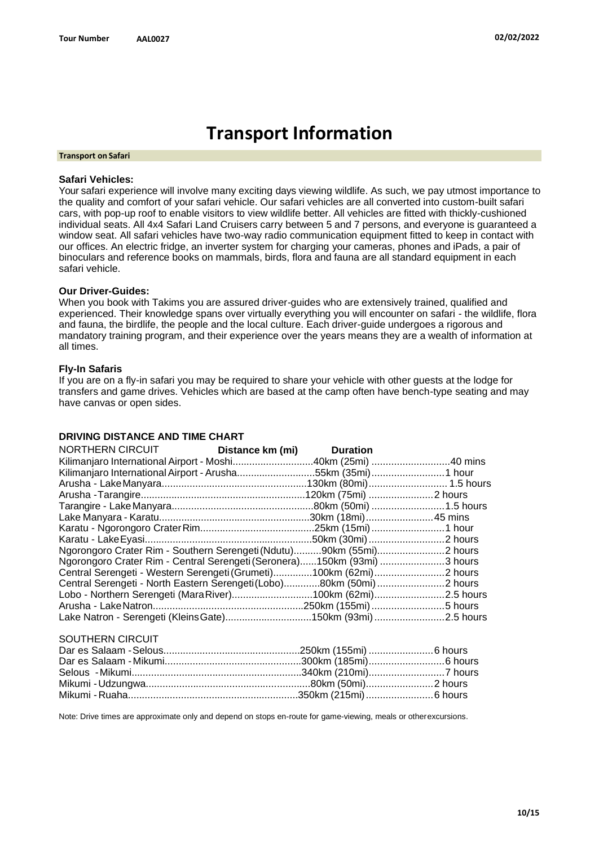# **Transport Information**

#### **Transport on Safari**

#### **Safari Vehicles:**

Your safari experience will involve many exciting days viewing wildlife. As such, we pay utmost importance to the quality and comfort of your safari vehicle. Our safari vehicles are all converted into custom-built safari cars, with pop-up roof to enable visitors to view wildlife better. All vehicles are fitted with thickly-cushioned individual seats. All 4x4 Safari Land Cruisers carry between 5 and 7 persons, and everyone is guaranteed a window seat. All safari vehicles have two-way radio communication equipment fitted to keep in contact with our offices. An electric fridge, an inverter system for charging your cameras, phones and iPads, a pair of binoculars and reference books on mammals, birds, flora and fauna are all standard equipment in each safari vehicle.

### **Our Driver-Guides:**

When you book with Takims you are assured driver-guides who are extensively trained, qualified and experienced. Their knowledge spans over virtually everything you will encounter on safari - the wildlife, flora and fauna, the birdlife, the people and the local culture. Each driver-guide undergoes a rigorous and mandatory training program, and their experience over the years means they are a wealth of information at all times.

### **Fly-In Safaris**

If you are on a fly-in safari you may be required to share your vehicle with other guests at the lodge for transfers and game drives. Vehicles which are based at the camp often have bench-type seating and may have canvas or open sides.

## **DRIVING DISTANCE AND TIME CHART**

| NORTHERN CIRCUIT                                                         | Distance km (mi) | <b>Duration</b> |  |
|--------------------------------------------------------------------------|------------------|-----------------|--|
| Kilimanjaro International Airport - Moshi40km (25mi) 40 mins             |                  |                 |  |
| Kilimanjaro International Airport - Arusha55km (35mi)1 hour              |                  |                 |  |
|                                                                          |                  |                 |  |
|                                                                          |                  |                 |  |
|                                                                          |                  |                 |  |
|                                                                          |                  |                 |  |
|                                                                          |                  |                 |  |
|                                                                          |                  |                 |  |
| Ngorongoro Crater Rim - Southern Serengeti (Ndutu)90km (55mi)2 hours     |                  |                 |  |
| Ngorongoro Crater Rim - Central Serengeti (Seronera)150km (93mi) 3 hours |                  |                 |  |
| Central Serengeti - Western Serengeti (Grumeti)100km (62mi)2 hours       |                  |                 |  |
| Central Serengeti - North Eastern Serengeti (Lobo)80km (50mi)2 hours     |                  |                 |  |
|                                                                          |                  |                 |  |
|                                                                          |                  |                 |  |
| Lake Natron - Serengeti (Kleins Gate)150km (93mi)2.5 hours               |                  |                 |  |

#### SOUTHERN CIRCUIT

Note: Drive times are approximate only and depend on stops en-route for game-viewing, meals or otherexcursions.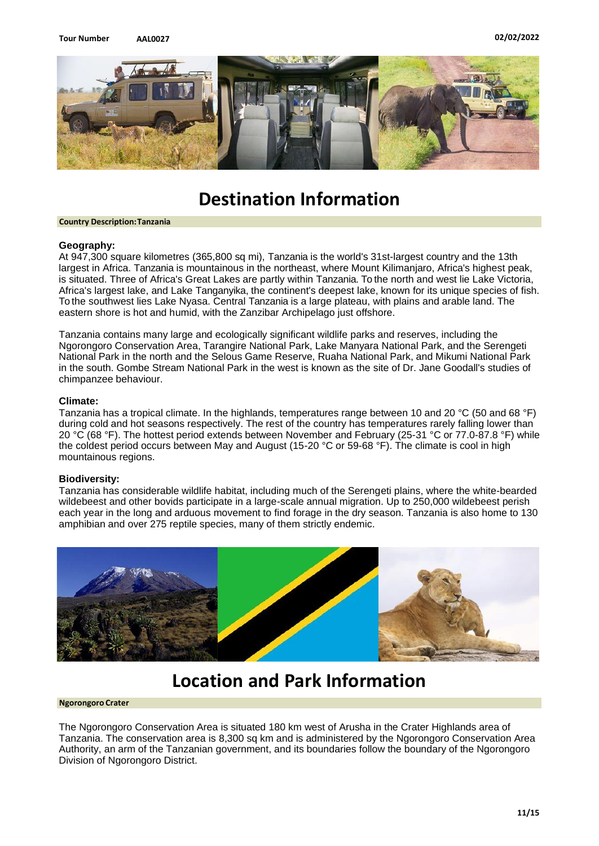

# **Destination Information**

#### **Country Description:Tanzania**

#### **Geography:**

At 947,300 square kilometres (365,800 sq mi), Tanzania is the world's 31st-largest country and the 13th largest in Africa. Tanzania is mountainous in the northeast, where Mount Kilimanjaro, Africa's highest peak, is situated. Three of Africa's Great Lakes are partly within Tanzania. To the north and west lie Lake Victoria, Africa's largest lake, and Lake Tanganyika, the continent's deepest lake, known for its unique species of fish. To the southwest lies Lake Nyasa. Central Tanzania is a large plateau, with plains and arable land. The eastern shore is hot and humid, with the Zanzibar Archipelago just offshore.

Tanzania contains many large and ecologically significant wildlife parks and reserves, including the Ngorongoro Conservation Area, Tarangire National Park, Lake Manyara National Park, and the Serengeti National Park in the north and the Selous Game Reserve, Ruaha National Park, and Mikumi National Park in the south. Gombe Stream National Park in the west is known as the site of Dr. Jane Goodall's studies of chimpanzee behaviour.

#### **Climate:**

Tanzania has a tropical climate. In the highlands, temperatures range between 10 and 20 °C (50 and 68 °F) during cold and hot seasons respectively. The rest of the country has temperatures rarely falling lower than 20 °C (68 °F). The hottest period extends between November and February (25-31 °C or 77.0-87.8 °F) while the coldest period occurs between May and August (15-20 °C or 59-68 °F). The climate is cool in high mountainous regions.

### **Biodiversity:**

Tanzania has considerable wildlife habitat, including much of the Serengeti plains, where the white-bearded wildebeest and other bovids participate in a large-scale annual migration. Up to 250,000 wildebeest perish each year in the long and arduous movement to find forage in the dry season. Tanzania is also home to 130 amphibian and over 275 reptile species, many of them strictly endemic.



# **Location and Park Information**

#### **Ngorongoro Crater**

The Ngorongoro Conservation Area is situated 180 km west of Arusha in the Crater Highlands area of Tanzania. The conservation area is 8,300 sq km and is administered by the Ngorongoro Conservation Area Authority, an arm of the Tanzanian government, and its boundaries follow the boundary of the Ngorongoro Division of Ngorongoro District.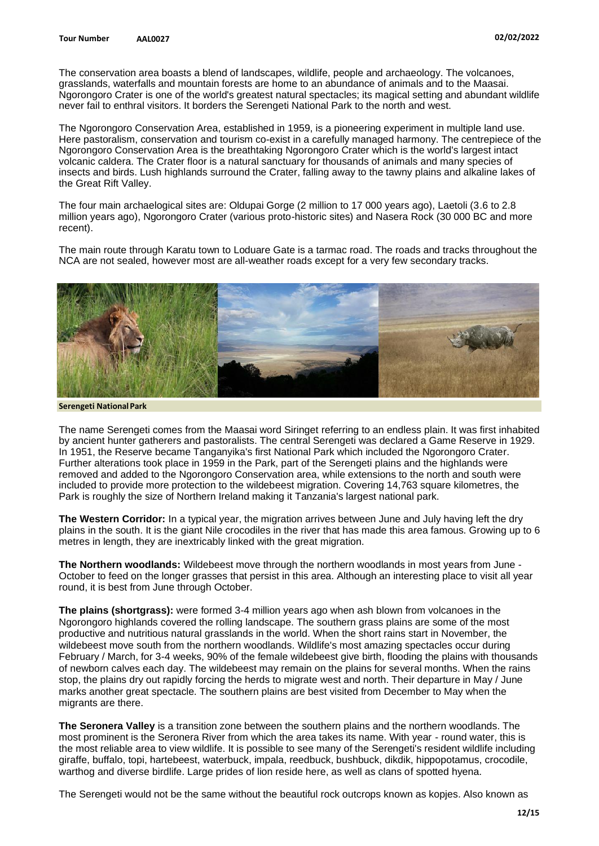The conservation area boasts a blend of landscapes, wildlife, people and archaeology. The volcanoes, grasslands, waterfalls and mountain forests are home to an abundance of animals and to the Maasai. Ngorongoro Crater is one of the world's greatest natural spectacles; its magical setting and abundant wildlife never fail to enthral visitors. It borders the Serengeti National Park to the north and west.

The Ngorongoro Conservation Area, established in 1959, is a pioneering experiment in multiple land use. Here pastoralism, conservation and tourism co-exist in a carefully managed harmony. The centrepiece of the Ngorongoro Conservation Area is the breathtaking Ngorongoro Crater which is the world's largest intact volcanic caldera. The Crater floor is a natural sanctuary for thousands of animals and many species of insects and birds. Lush highlands surround the Crater, falling away to the tawny plains and alkaline lakes of the Great Rift Valley.

The four main archaelogical sites are: Oldupai Gorge (2 million to 17 000 years ago), Laetoli (3.6 to 2.8 million years ago), Ngorongoro Crater (various proto-historic sites) and Nasera Rock (30 000 BC and more recent).

The main route through Karatu town to Loduare Gate is a tarmac road. The roads and tracks throughout the NCA are not sealed, however most are all-weather roads except for a very few secondary tracks.



**Serengeti NationalPark**

The name Serengeti comes from the Maasai word Siringet referring to an endless plain. It was first inhabited by ancient hunter gatherers and pastoralists. The central Serengeti was declared a Game Reserve in 1929. In 1951, the Reserve became Tanganyika's first National Park which included the Ngorongoro Crater. Further alterations took place in 1959 in the Park, part of the Serengeti plains and the highlands were removed and added to the Ngorongoro Conservation area, while extensions to the north and south were included to provide more protection to the wildebeest migration. Covering 14,763 square kilometres, the Park is roughly the size of Northern Ireland making it Tanzania's largest national park.

**The Western Corridor:** In a typical year, the migration arrives between June and July having left the dry plains in the south. It is the giant Nile crocodiles in the river that has made this area famous. Growing up to 6 metres in length, they are inextricably linked with the great migration.

**The Northern woodlands:** Wildebeest move through the northern woodlands in most years from June - October to feed on the longer grasses that persist in this area. Although an interesting place to visit all year round, it is best from June through October.

**The plains (shortgrass):** were formed 3-4 million years ago when ash blown from volcanoes in the Ngorongoro highlands covered the rolling landscape. The southern grass plains are some of the most productive and nutritious natural grasslands in the world. When the short rains start in November, the wildebeest move south from the northern woodlands. Wildlife's most amazing spectacles occur during February / March, for 3-4 weeks, 90% of the female wildebeest give birth, flooding the plains with thousands of newborn calves each day. The wildebeest may remain on the plains for several months. When the rains stop, the plains dry out rapidly forcing the herds to migrate west and north. Their departure in May / June marks another great spectacle. The southern plains are best visited from December to May when the migrants are there.

**The Seronera Valley** is a transition zone between the southern plains and the northern woodlands. The most prominent is the Seronera River from which the area takes its name. With year - round water, this is the most reliable area to view wildlife. It is possible to see many of the Serengeti's resident wildlife including giraffe, buffalo, topi, hartebeest, waterbuck, impala, reedbuck, bushbuck, dikdik, hippopotamus, crocodile, warthog and diverse birdlife. Large prides of lion reside here, as well as clans of spotted hyena.

The Serengeti would not be the same without the beautiful rock outcrops known as kopjes. Also known as